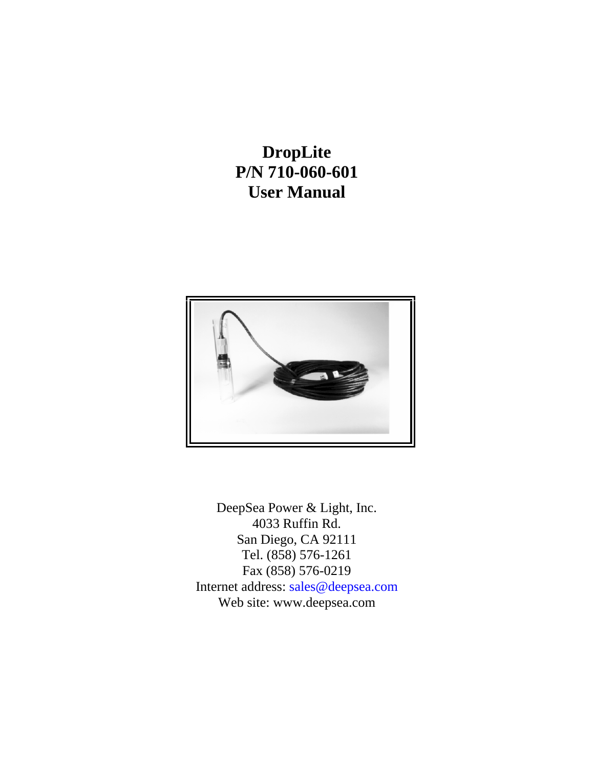# **DropLite P/N 710-060-601 User Manual**



DeepSea Power & Light, Inc. 4033 Ruffin Rd. San Diego, CA 92111 Tel. (858) 576-1261 Fax (858) 576-0219 Internet address: sales@deepsea.com Web site: www.deepsea.com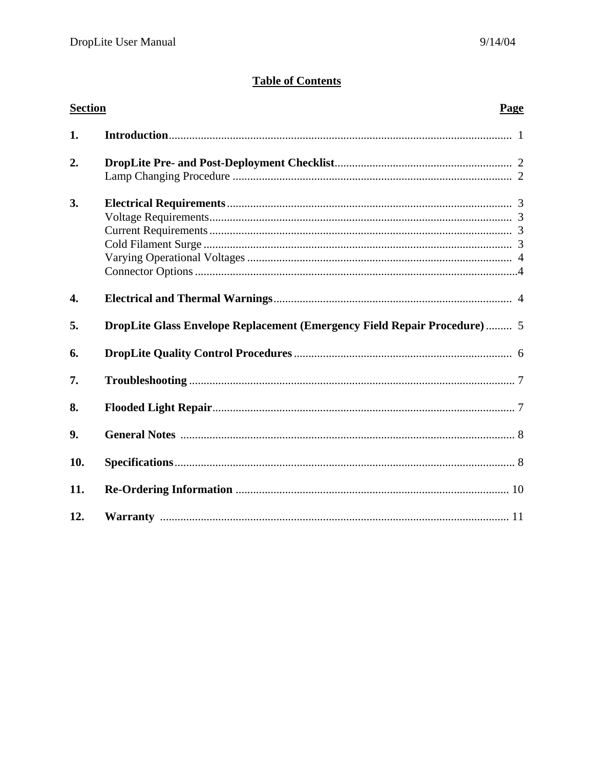# **Table of Contents**

| <b>Section</b>   |                                                                                  | Page |
|------------------|----------------------------------------------------------------------------------|------|
| 1.               |                                                                                  |      |
| 2.               |                                                                                  |      |
| 3.               |                                                                                  |      |
| $\overline{4}$ . |                                                                                  |      |
| 5.               | <b>DropLite Glass Envelope Replacement (Emergency Field Repair Procedure)  5</b> |      |
| 6.               |                                                                                  |      |
| 7.               |                                                                                  |      |
| 8.               |                                                                                  |      |
| 9.               |                                                                                  |      |
| 10.              |                                                                                  |      |
| 11.              |                                                                                  |      |
| 12.              |                                                                                  |      |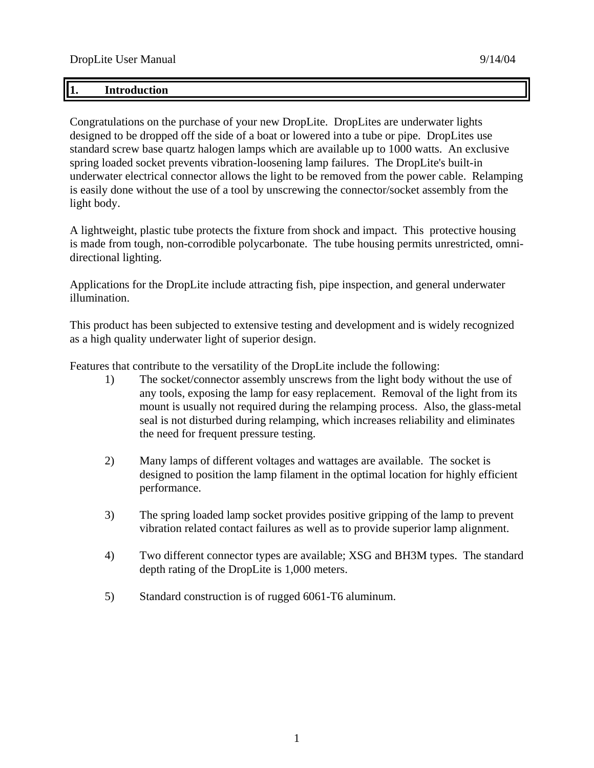### **1. Introduction**

Congratulations on the purchase of your new DropLite. DropLites are underwater lights designed to be dropped off the side of a boat or lowered into a tube or pipe. DropLites use standard screw base quartz halogen lamps which are available up to 1000 watts. An exclusive spring loaded socket prevents vibration-loosening lamp failures. The DropLite's built-in underwater electrical connector allows the light to be removed from the power cable. Relamping is easily done without the use of a tool by unscrewing the connector/socket assembly from the light body.

A lightweight, plastic tube protects the fixture from shock and impact. This protective housing is made from tough, non-corrodible polycarbonate. The tube housing permits unrestricted, omnidirectional lighting.

Applications for the DropLite include attracting fish, pipe inspection, and general underwater illumination.

This product has been subjected to extensive testing and development and is widely recognized as a high quality underwater light of superior design.

Features that contribute to the versatility of the DropLite include the following:

- 1) The socket/connector assembly unscrews from the light body without the use of any tools, exposing the lamp for easy replacement. Removal of the light from its mount is usually not required during the relamping process. Also, the glass-metal seal is not disturbed during relamping, which increases reliability and eliminates the need for frequent pressure testing.
- 2) Many lamps of different voltages and wattages are available. The socket is designed to position the lamp filament in the optimal location for highly efficient performance.
- 3) The spring loaded lamp socket provides positive gripping of the lamp to prevent vibration related contact failures as well as to provide superior lamp alignment.
- 4) Two different connector types are available; XSG and BH3M types. The standard depth rating of the DropLite is 1,000 meters.
- 5) Standard construction is of rugged 6061-T6 aluminum.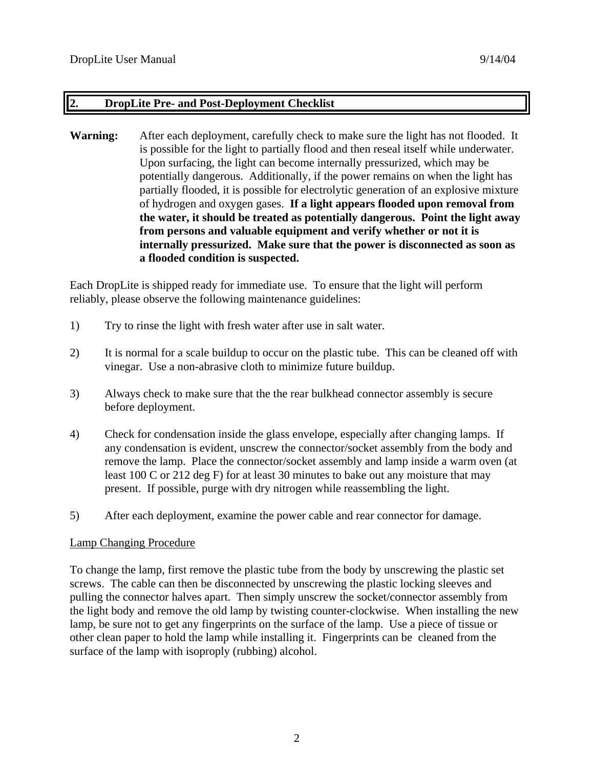### **2. DropLite Pre- and Post-Deployment Checklist**

**Warning:** After each deployment, carefully check to make sure the light has not flooded. It is possible for the light to partially flood and then reseal itself while underwater. Upon surfacing, the light can become internally pressurized, which may be potentially dangerous. Additionally, if the power remains on when the light has partially flooded, it is possible for electrolytic generation of an explosive mixture of hydrogen and oxygen gases. **If a light appears flooded upon removal from the water, it should be treated as potentially dangerous. Point the light away from persons and valuable equipment and verify whether or not it is internally pressurized. Make sure that the power is disconnected as soon as a flooded condition is suspected.**

Each DropLite is shipped ready for immediate use. To ensure that the light will perform reliably, please observe the following maintenance guidelines:

- 1) Try to rinse the light with fresh water after use in salt water.
- 2) It is normal for a scale buildup to occur on the plastic tube. This can be cleaned off with vinegar. Use a non-abrasive cloth to minimize future buildup.
- 3) Always check to make sure that the the rear bulkhead connector assembly is secure before deployment.
- 4) Check for condensation inside the glass envelope, especially after changing lamps. If any condensation is evident, unscrew the connector/socket assembly from the body and remove the lamp. Place the connector/socket assembly and lamp inside a warm oven (at least 100 C or 212 deg F) for at least 30 minutes to bake out any moisture that may present. If possible, purge with dry nitrogen while reassembling the light.
- 5) After each deployment, examine the power cable and rear connector for damage.

### Lamp Changing Procedure

To change the lamp, first remove the plastic tube from the body by unscrewing the plastic set screws. The cable can then be disconnected by unscrewing the plastic locking sleeves and pulling the connector halves apart. Then simply unscrew the socket/connector assembly from the light body and remove the old lamp by twisting counter-clockwise. When installing the new lamp, be sure not to get any fingerprints on the surface of the lamp. Use a piece of tissue or other clean paper to hold the lamp while installing it. Fingerprints can be cleaned from the surface of the lamp with isoproply (rubbing) alcohol.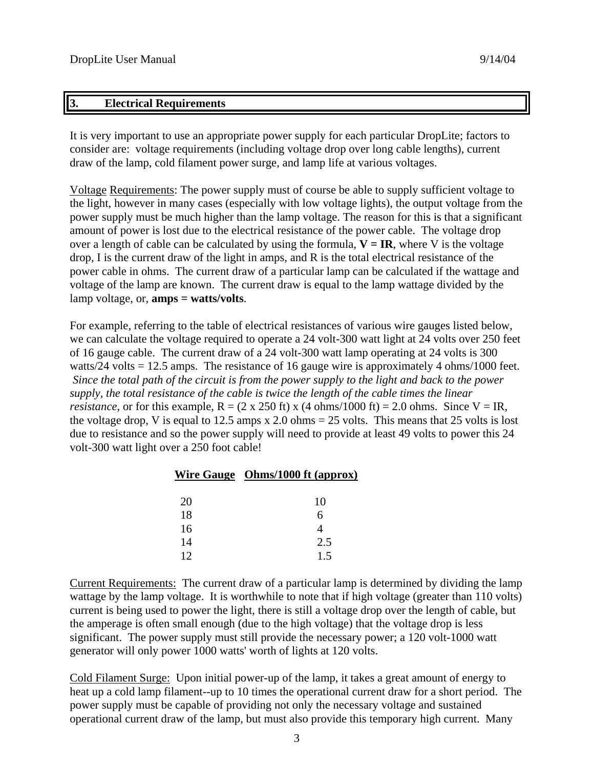### **3. Electrical Requirements**

It is very important to use an appropriate power supply for each particular DropLite; factors to consider are: voltage requirements (including voltage drop over long cable lengths), current draw of the lamp, cold filament power surge, and lamp life at various voltages.

Voltage Requirements: The power supply must of course be able to supply sufficient voltage to the light, however in many cases (especially with low voltage lights), the output voltage from the power supply must be much higher than the lamp voltage. The reason for this is that a significant amount of power is lost due to the electrical resistance of the power cable. The voltage drop over a length of cable can be calculated by using the formula,  $V = IR$ , where V is the voltage drop, I is the current draw of the light in amps, and R is the total electrical resistance of the power cable in ohms. The current draw of a particular lamp can be calculated if the wattage and voltage of the lamp are known. The current draw is equal to the lamp wattage divided by the lamp voltage, or, **amps = watts/volts**.

For example, referring to the table of electrical resistances of various wire gauges listed below, we can calculate the voltage required to operate a 24 volt-300 watt light at 24 volts over 250 feet of 16 gauge cable. The current draw of a 24 volt-300 watt lamp operating at 24 volts is 300 watts/24 volts = 12.5 amps. The resistance of 16 gauge wire is approximately 4 ohms/1000 feet. *Since the total path of the circuit is from the power supply to the light and back to the power supply, the total resistance of the cable is twice the length of the cable times the linear resistance*, or for this example,  $R = (2 \times 250 \text{ ft}) \times (4 \text{ ohms}/1000 \text{ ft}) = 2.0 \text{ ohms}$ . Since  $V = IR$ , the voltage drop, V is equal to 12.5 amps x 2.0 ohms  $= 25$  volts. This means that 25 volts is lost due to resistance and so the power supply will need to provide at least 49 volts to power this 24 volt-300 watt light over a 250 foot cable!

|    | Wire Gauge Ohms/1000 ft (approx) |
|----|----------------------------------|
| 20 | 10                               |
| 18 | 6                                |
| 16 |                                  |
| 14 | 2.5                              |
| 12 | 15                               |

Current Requirements: The current draw of a particular lamp is determined by dividing the lamp wattage by the lamp voltage. It is worthwhile to note that if high voltage (greater than 110 volts) current is being used to power the light, there is still a voltage drop over the length of cable, but the amperage is often small enough (due to the high voltage) that the voltage drop is less significant. The power supply must still provide the necessary power; a 120 volt-1000 watt generator will only power 1000 watts' worth of lights at 120 volts.

Cold Filament Surge: Upon initial power-up of the lamp, it takes a great amount of energy to heat up a cold lamp filament--up to 10 times the operational current draw for a short period. The power supply must be capable of providing not only the necessary voltage and sustained operational current draw of the lamp, but must also provide this temporary high current. Many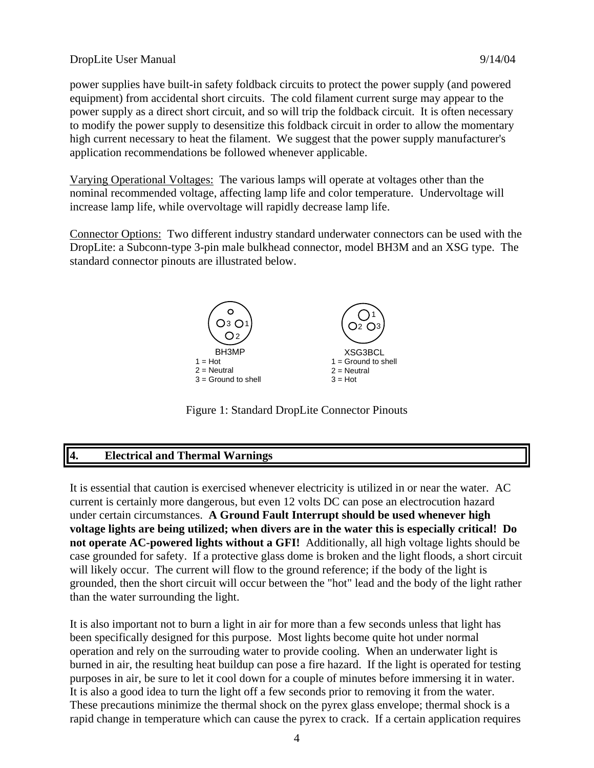### DropLite User Manual 9/14/04

power supplies have built-in safety foldback circuits to protect the power supply (and powered equipment) from accidental short circuits. The cold filament current surge may appear to the power supply as a direct short circuit, and so will trip the foldback circuit. It is often necessary to modify the power supply to desensitize this foldback circuit in order to allow the momentary high current necessary to heat the filament. We suggest that the power supply manufacturer's application recommendations be followed whenever applicable.

Varying Operational Voltages: The various lamps will operate at voltages other than the nominal recommended voltage, affecting lamp life and color temperature. Undervoltage will increase lamp life, while overvoltage will rapidly decrease lamp life.

Connector Options: Two different industry standard underwater connectors can be used with the DropLite: a Subconn-type 3-pin male bulkhead connector, model BH3M and an XSG type. The standard connector pinouts are illustrated below.



Figure 1: Standard DropLite Connector Pinouts

# **4. Electrical and Thermal Warnings**

It is essential that caution is exercised whenever electricity is utilized in or near the water. AC current is certainly more dangerous, but even 12 volts DC can pose an electrocution hazard under certain circumstances. **A Ground Fault Interrupt should be used whenever high voltage lights are being utilized; when divers are in the water this is especially critical! Do not operate AC-powered lights without a GFI!** Additionally, all high voltage lights should be case grounded for safety. If a protective glass dome is broken and the light floods, a short circuit will likely occur. The current will flow to the ground reference; if the body of the light is grounded, then the short circuit will occur between the "hot" lead and the body of the light rather than the water surrounding the light.

It is also important not to burn a light in air for more than a few seconds unless that light has been specifically designed for this purpose. Most lights become quite hot under normal operation and rely on the surrouding water to provide cooling. When an underwater light is burned in air, the resulting heat buildup can pose a fire hazard. If the light is operated for testing purposes in air, be sure to let it cool down for a couple of minutes before immersing it in water. It is also a good idea to turn the light off a few seconds prior to removing it from the water. These precautions minimize the thermal shock on the pyrex glass envelope; thermal shock is a rapid change in temperature which can cause the pyrex to crack. If a certain application requires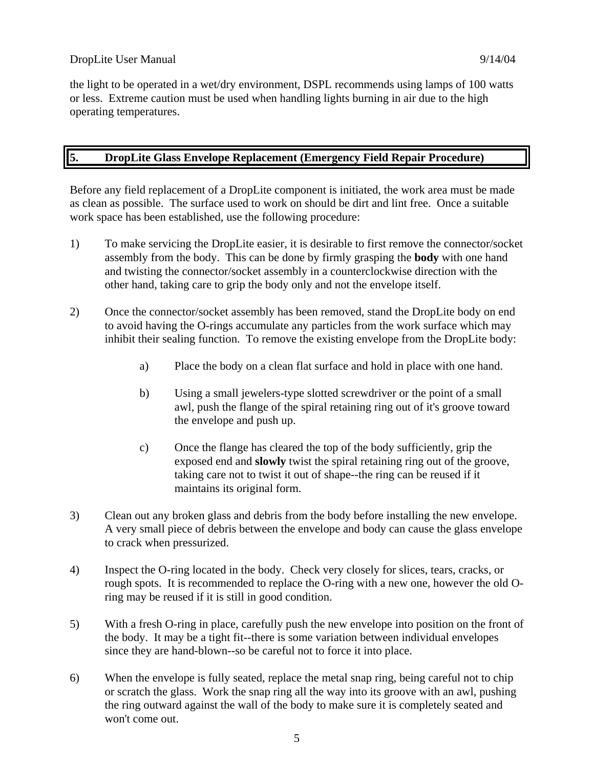the light to be operated in a wet/dry environment, DSPL recommends using lamps of 100 watts or less. Extreme caution must be used when handling lights burning in air due to the high operating temperatures.

# **5. DropLite Glass Envelope Replacement (Emergency Field Repair Procedure)**

Before any field replacement of a DropLite component is initiated, the work area must be made as clean as possible. The surface used to work on should be dirt and lint free. Once a suitable work space has been established, use the following procedure:

- 1) To make servicing the DropLite easier, it is desirable to first remove the connector/socket assembly from the body. This can be done by firmly grasping the **body** with one hand and twisting the connector/socket assembly in a counterclockwise direction with the other hand, taking care to grip the body only and not the envelope itself.
- 2) Once the connector/socket assembly has been removed, stand the DropLite body on end to avoid having the O-rings accumulate any particles from the work surface which may inhibit their sealing function. To remove the existing envelope from the DropLite body:
	- a) Place the body on a clean flat surface and hold in place with one hand.
	- b) Using a small jewelers-type slotted screwdriver or the point of a small awl, push the flange of the spiral retaining ring out of it's groove toward the envelope and push up.
	- c) Once the flange has cleared the top of the body sufficiently, grip the exposed end and **slowly** twist the spiral retaining ring out of the groove, taking care not to twist it out of shape--the ring can be reused if it maintains its original form.
- 3) Clean out any broken glass and debris from the body before installing the new envelope. A very small piece of debris between the envelope and body can cause the glass envelope to crack when pressurized.
- 4) Inspect the O-ring located in the body. Check very closely for slices, tears, cracks, or rough spots. It is recommended to replace the O-ring with a new one, however the old Oring may be reused if it is still in good condition.
- 5) With a fresh O-ring in place, carefully push the new envelope into position on the front of the body. It may be a tight fit--there is some variation between individual envelopes since they are hand-blown--so be careful not to force it into place.
- 6) When the envelope is fully seated, replace the metal snap ring, being careful not to chip or scratch the glass. Work the snap ring all the way into its groove with an awl, pushing the ring outward against the wall of the body to make sure it is completely seated and won't come out.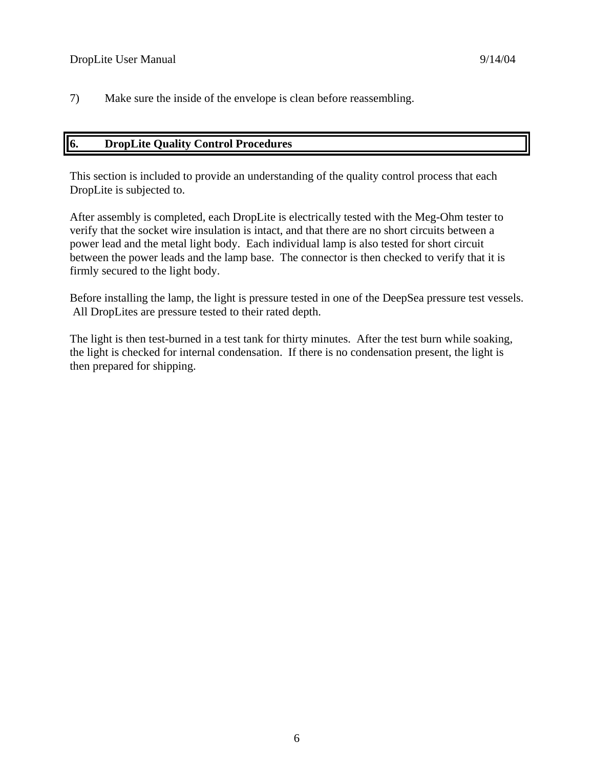7) Make sure the inside of the envelope is clean before reassembling.

### **6. DropLite Quality Control Procedures**

This section is included to provide an understanding of the quality control process that each DropLite is subjected to.

After assembly is completed, each DropLite is electrically tested with the Meg-Ohm tester to verify that the socket wire insulation is intact, and that there are no short circuits between a power lead and the metal light body. Each individual lamp is also tested for short circuit between the power leads and the lamp base. The connector is then checked to verify that it is firmly secured to the light body.

Before installing the lamp, the light is pressure tested in one of the DeepSea pressure test vessels. All DropLites are pressure tested to their rated depth.

The light is then test-burned in a test tank for thirty minutes. After the test burn while soaking, the light is checked for internal condensation. If there is no condensation present, the light is then prepared for shipping.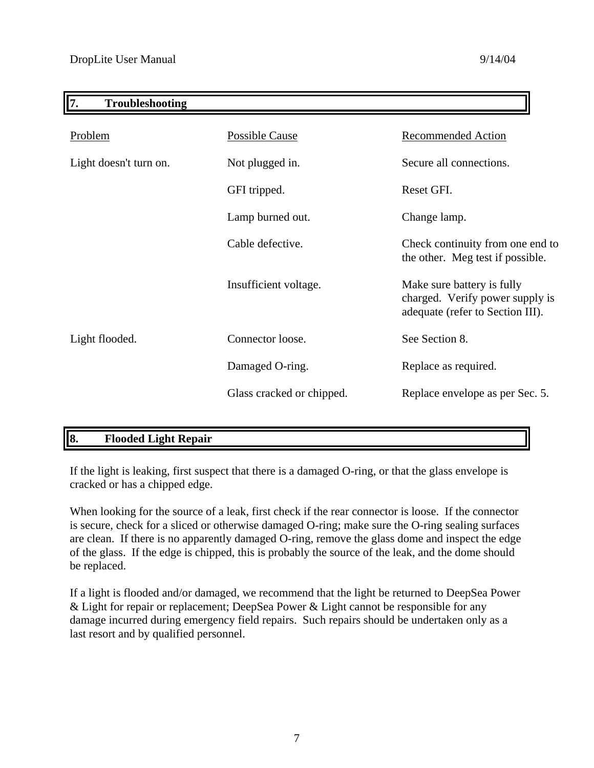| 7.<br><b>Troubleshooting</b> |                           |                                                                                                   |
|------------------------------|---------------------------|---------------------------------------------------------------------------------------------------|
| Problem                      | Possible Cause            | <b>Recommended Action</b>                                                                         |
| Light doesn't turn on.       | Not plugged in.           | Secure all connections.                                                                           |
|                              | GFI tripped.              | Reset GFI.                                                                                        |
|                              | Lamp burned out.          | Change lamp.                                                                                      |
|                              | Cable defective.          | Check continuity from one end to<br>the other. Meg test if possible.                              |
|                              | Insufficient voltage.     | Make sure battery is fully<br>charged. Verify power supply is<br>adequate (refer to Section III). |
| Light flooded.               | Connector loose.          | See Section 8.                                                                                    |
|                              | Damaged O-ring.           | Replace as required.                                                                              |
|                              | Glass cracked or chipped. | Replace envelope as per Sec. 5.                                                                   |

# **8. Flooded Light Repair**

If the light is leaking, first suspect that there is a damaged O-ring, or that the glass envelope is cracked or has a chipped edge.

When looking for the source of a leak, first check if the rear connector is loose. If the connector is secure, check for a sliced or otherwise damaged O-ring; make sure the O-ring sealing surfaces are clean. If there is no apparently damaged O-ring, remove the glass dome and inspect the edge of the glass. If the edge is chipped, this is probably the source of the leak, and the dome should be replaced.

If a light is flooded and/or damaged, we recommend that the light be returned to DeepSea Power & Light for repair or replacement; DeepSea Power & Light cannot be responsible for any damage incurred during emergency field repairs. Such repairs should be undertaken only as a last resort and by qualified personnel.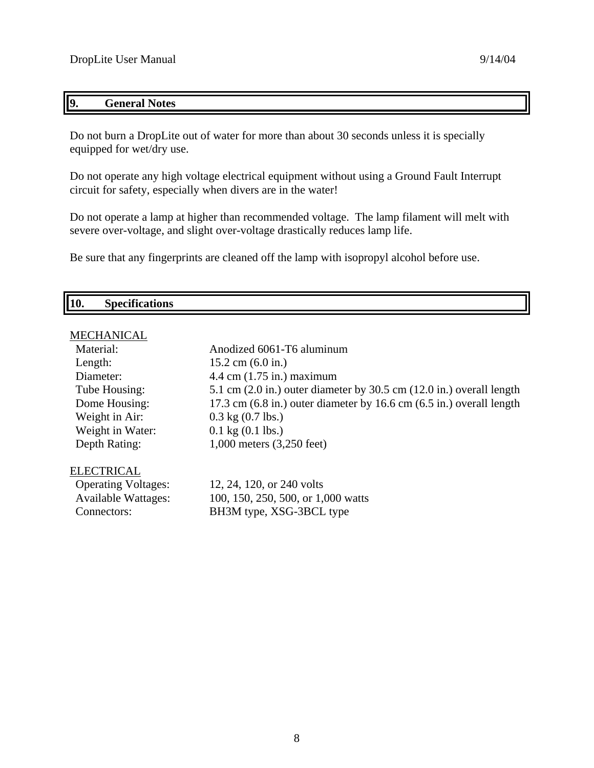# **9. General Notes**

Do not burn a DropLite out of water for more than about 30 seconds unless it is specially equipped for wet/dry use.

Do not operate any high voltage electrical equipment without using a Ground Fault Interrupt circuit for safety, especially when divers are in the water!

Do not operate a lamp at higher than recommended voltage. The lamp filament will melt with severe over-voltage, and slight over-voltage drastically reduces lamp life.

Be sure that any fingerprints are cleaned off the lamp with isopropyl alcohol before use.

| $• \n  0$<br>- - - - - - - - |            |                    |
|------------------------------|------------|--------------------|
|                              | <b>10.</b> | Spect <sub>r</sub> |

# **MECHANICAL**

| Material:                  | Anodized 6061-T6 aluminum                                                                |
|----------------------------|------------------------------------------------------------------------------------------|
| Length:                    | $15.2$ cm $(6.0 \text{ in.})$                                                            |
| Diameter:                  | $4.4 \text{ cm}$ (1.75 in.) maximum                                                      |
| Tube Housing:              | 5.1 cm $(2.0 \text{ in.})$ outer diameter by 30.5 cm $(12.0 \text{ in.})$ overall length |
| Dome Housing:              | 17.3 cm $(6.8 \text{ in.})$ outer diameter by 16.6 cm $(6.5 \text{ in.})$ overall length |
| Weight in Air:             | $0.3$ kg $(0.7$ lbs.)                                                                    |
| Weight in Water:           | $0.1 \text{ kg} (0.1 \text{ lbs.})$                                                      |
| Depth Rating:              | 1,000 meters (3,250 feet)                                                                |
| ELECTRICAL                 |                                                                                          |
| <b>Operating Voltages:</b> | 12, 24, 120, or 240 volts                                                                |
| <b>Available Wattages:</b> | 100, 150, 250, 500, or 1,000 watts                                                       |

Connectors: BH3M type, XSG-3BCL type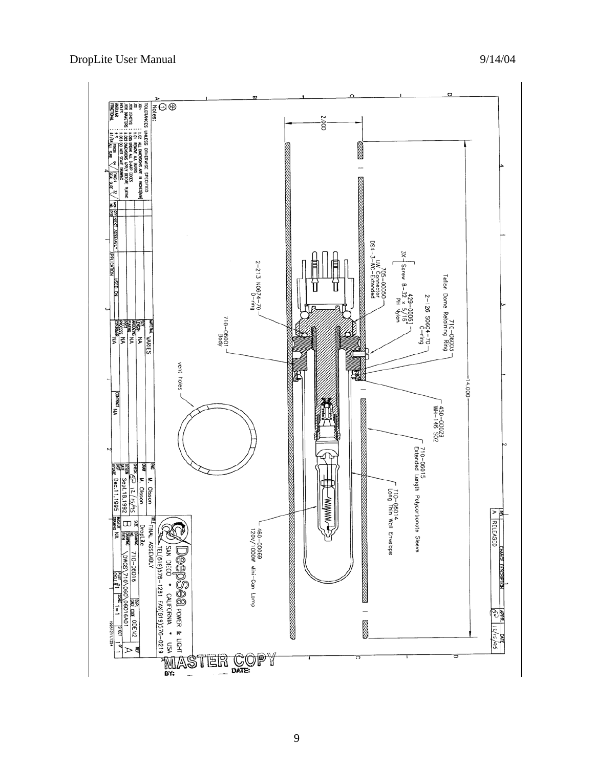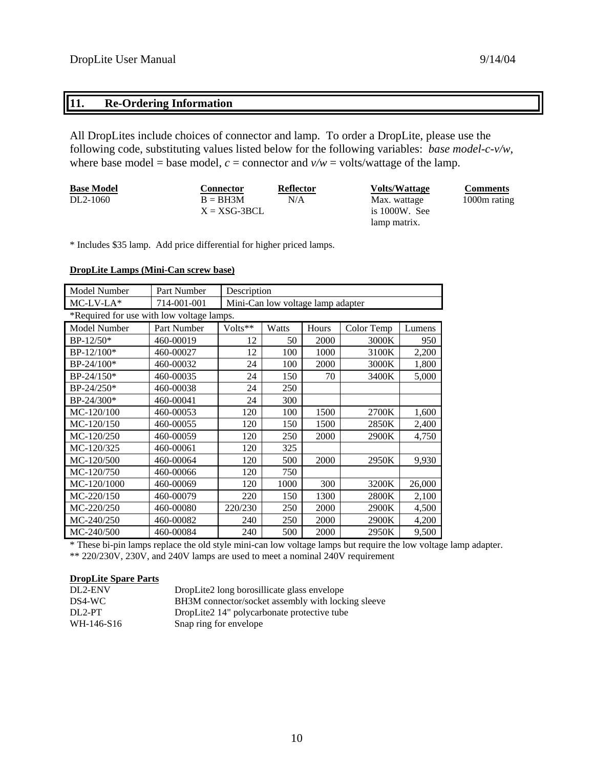# **11. Re-Ordering Information**

All DropLites include choices of connector and lamp. To order a DropLite, please use the following code, substituting values listed below for the following variables: *base model-c-v/w*, where base model = base model,  $c =$  connector and  $v/w =$  volts/wattage of the lamp.

| <b>Base Model</b> | Connector      | Reflector | <b>Volts/Wattage</b> | <b>Comments</b> |
|-------------------|----------------|-----------|----------------------|-----------------|
| DL2-1060          | $B = BH3M$     | N/A       | Max. wattage         | 1000m rating    |
|                   | $X = XSG-3BCL$ |           | is $1000W$ . See     |                 |
|                   |                |           | lamp matrix.         |                 |

\* Includes \$35 lamp. Add price differential for higher priced lamps.

#### **DropLite Lamps (Mini-Can screw base)**

| Model Number                              | Part Number | Description                       |       |       |            |        |
|-------------------------------------------|-------------|-----------------------------------|-------|-------|------------|--------|
| $MC-LV-LA*$                               | 714-001-001 | Mini-Can low voltage lamp adapter |       |       |            |        |
| *Required for use with low voltage lamps. |             |                                   |       |       |            |        |
| Model Number                              | Part Number | Volts**                           | Watts | Hours | Color Temp | Lumens |
| BP-12/50*                                 | 460-00019   | 12                                | 50    | 2000  | 3000K      | 950    |
| $BP-12/100*$                              | 460-00027   | 12                                | 100   | 1000  | 3100K      | 2,200  |
| BP-24/100*                                | 460-00032   | 24                                | 100   | 2000  | 3000K      | 1,800  |
| $BP-24/150*$                              | 460-00035   | 24                                | 150   | 70    | 3400K      | 5,000  |
| $BP-24/250*$                              | 460-00038   | 24                                | 250   |       |            |        |
| $BP-24/300*$                              | 460-00041   | 24                                | 300   |       |            |        |
| MC-120/100                                | 460-00053   | 120                               | 100   | 1500  | 2700K      | 1,600  |
| MC-120/150                                | 460-00055   | 120                               | 150   | 1500  | 2850K      | 2,400  |
| MC-120/250                                | 460-00059   | 120                               | 250   | 2000  | 2900K      | 4,750  |
| MC-120/325                                | 460-00061   | 120                               | 325   |       |            |        |
| MC-120/500                                | 460-00064   | 120                               | 500   | 2000  | 2950K      | 9,930  |
| MC-120/750                                | 460-00066   | 120                               | 750   |       |            |        |
| MC-120/1000                               | 460-00069   | 120                               | 1000  | 300   | 3200K      | 26,000 |
| MC-220/150                                | 460-00079   | 220                               | 150   | 1300  | 2800K      | 2,100  |
| MC-220/250                                | 460-00080   | 220/230                           | 250   | 2000  | 2900K      | 4,500  |
| MC-240/250                                | 460-00082   | 240                               | 250   | 2000  | 2900K      | 4,200  |
| MC-240/500                                | 460-00084   | 240                               | 500   | 2000  | 2950K      | 9,500  |

\* These bi-pin lamps replace the old style mini-can low voltage lamps but require the low voltage lamp adapter. \*\* 220/230V, 230V, and 240V lamps are used to meet a nominal 240V requirement

#### **DropLite Spare Parts**

| DL2-ENV    | DropLite2 long borosillicate glass envelope        |
|------------|----------------------------------------------------|
| DS4-WC     | BH3M connector/socket assembly with locking sleeve |
| $DI.2-PT$  | DropLite2 14" polycarbonate protective tube        |
| WH-146-S16 | Snap ring for envelope                             |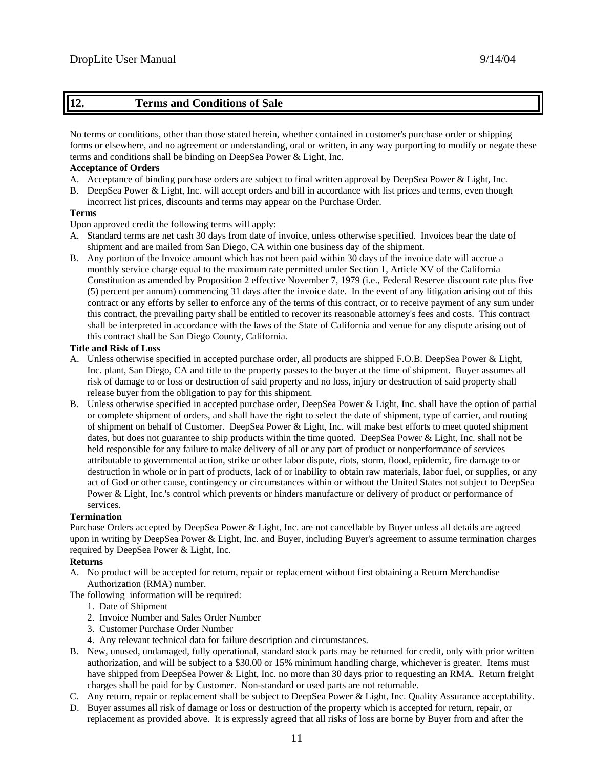### **12. Terms and Conditions of Sale**

No terms or conditions, other than those stated herein, whether contained in customer's purchase order or shipping forms or elsewhere, and no agreement or understanding, oral or written, in any way purporting to modify or negate these terms and conditions shall be binding on DeepSea Power & Light, Inc.

#### **Acceptance of Orders**

- A. Acceptance of binding purchase orders are subject to final written approval by DeepSea Power & Light, Inc.
- B. DeepSea Power & Light, Inc. will accept orders and bill in accordance with list prices and terms, even though incorrect list prices, discounts and terms may appear on the Purchase Order.

#### **Terms**

Upon approved credit the following terms will apply:

- A. Standard terms are net cash 30 days from date of invoice, unless otherwise specified. Invoices bear the date of shipment and are mailed from San Diego, CA within one business day of the shipment.
- B. Any portion of the Invoice amount which has not been paid within 30 days of the invoice date will accrue a monthly service charge equal to the maximum rate permitted under Section 1, Article XV of the California Constitution as amended by Proposition 2 effective November 7, 1979 (i.e., Federal Reserve discount rate plus five (5) percent per annum) commencing 31 days after the invoice date. In the event of any litigation arising out of this contract or any efforts by seller to enforce any of the terms of this contract, or to receive payment of any sum under this contract, the prevailing party shall be entitled to recover its reasonable attorney's fees and costs. This contract shall be interpreted in accordance with the laws of the State of California and venue for any dispute arising out of this contract shall be San Diego County, California.

#### **Title and Risk of Loss**

- A. Unless otherwise specified in accepted purchase order, all products are shipped F.O.B. DeepSea Power & Light, Inc. plant, San Diego, CA and title to the property passes to the buyer at the time of shipment. Buyer assumes all risk of damage to or loss or destruction of said property and no loss, injury or destruction of said property shall release buyer from the obligation to pay for this shipment.
- B. Unless otherwise specified in accepted purchase order, DeepSea Power & Light, Inc. shall have the option of partial or complete shipment of orders, and shall have the right to select the date of shipment, type of carrier, and routing of shipment on behalf of Customer. DeepSea Power & Light, Inc. will make best efforts to meet quoted shipment dates, but does not guarantee to ship products within the time quoted. DeepSea Power & Light, Inc. shall not be held responsible for any failure to make delivery of all or any part of product or nonperformance of services attributable to governmental action, strike or other labor dispute, riots, storm, flood, epidemic, fire damage to or destruction in whole or in part of products, lack of or inability to obtain raw materials, labor fuel, or supplies, or any act of God or other cause, contingency or circumstances within or without the United States not subject to DeepSea Power & Light, Inc.'s control which prevents or hinders manufacture or delivery of product or performance of services.

#### **Termination**

Purchase Orders accepted by DeepSea Power & Light, Inc. are not cancellable by Buyer unless all details are agreed upon in writing by DeepSea Power & Light, Inc. and Buyer, including Buyer's agreement to assume termination charges required by DeepSea Power & Light, Inc.

#### **Returns**

A. No product will be accepted for return, repair or replacement without first obtaining a Return Merchandise Authorization (RMA) number.

The following information will be required:

- 1. Date of Shipment
- 2. Invoice Number and Sales Order Number
- 3. Customer Purchase Order Number
- 4. Any relevant technical data for failure description and circumstances.
- B. New, unused, undamaged, fully operational, standard stock parts may be returned for credit, only with prior written authorization, and will be subject to a \$30.00 or 15% minimum handling charge, whichever is greater. Items must have shipped from DeepSea Power & Light, Inc. no more than 30 days prior to requesting an RMA. Return freight charges shall be paid for by Customer. Non-standard or used parts are not returnable.
- C. Any return, repair or replacement shall be subject to DeepSea Power & Light, Inc. Quality Assurance acceptability.
- D. Buyer assumes all risk of damage or loss or destruction of the property which is accepted for return, repair, or replacement as provided above. It is expressly agreed that all risks of loss are borne by Buyer from and after the